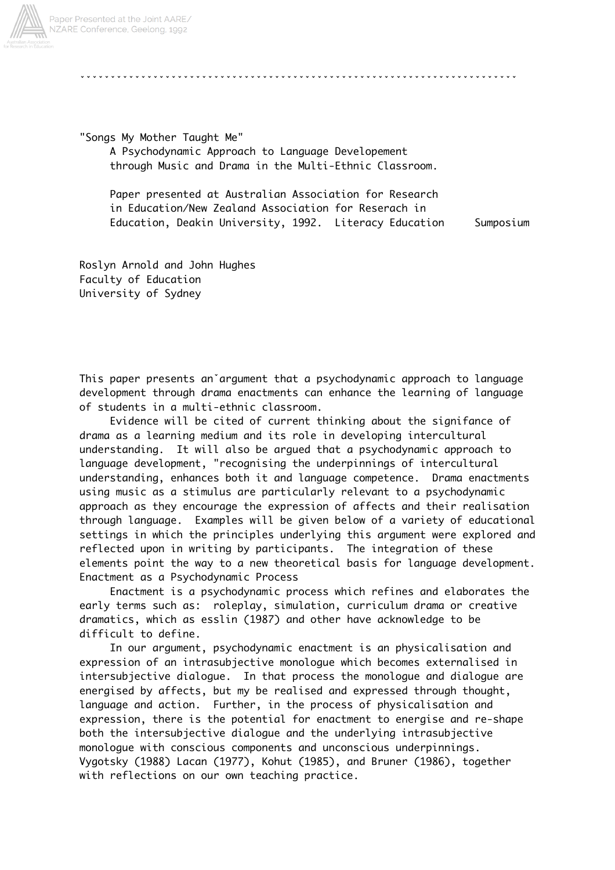

ˇˇˇˇˇˇˇˇˇˇˇˇˇˇˇˇˇˇˇˇˇˇˇˇˇˇˇˇˇˇˇˇˇˇˇˇˇˇˇˇˇˇˇˇˇˇˇˇˇˇˇˇˇˇˇˇˇˇˇˇˇˇˇˇˇˇˇˇˇˇˇˇ

"Songs My Mother Taught Me"

 A Psychodynamic Approach to Language Developement through Music and Drama in the Multi-Ethnic Classroom.

 Paper presented at Australian Association for Research in Education/New Zealand Association for Reserach in Education, Deakin University, 1992. Literacy Education Sumposium

Roslyn Arnold and John Hughes Faculty of Education University of Sydney

This paper presents anˇargument that a psychodynamic approach to language development through drama enactments can enhance the learning of language of students in a multi-ethnic classroom.

 Evidence will be cited of current thinking about the signifance of drama as a learning medium and its role in developing intercultural understanding. It will also be argued that a psychodynamic approach to language development, "recognising the underpinnings of intercultural understanding, enhances both it and language competence. Drama enactments using music as a stimulus are particularly relevant to a psychodynamic approach as they encourage the expression of affects and their realisation through language. Examples will be given below of a variety of educational settings in which the principles underlying this argument were explored and reflected upon in writing by participants. The integration of these elements point the way to a new theoretical basis for language development. Enactment as a Psychodynamic Process

 Enactment is a psychodynamic process which refines and elaborates the early terms such as: roleplay, simulation, curriculum drama or creative dramatics, which as esslin (1987) and other have acknowledge to be difficult to define.

 In our argument, psychodynamic enactment is an physicalisation and expression of an intrasubjective monologue which becomes externalised in intersubjective dialogue. In that process the monologue and dialogue are energised by affects, but my be realised and expressed through thought, language and action. Further, in the process of physicalisation and expression, there is the potential for enactment to energise and re-shape both the intersubjective dialogue and the underlying intrasubjective monologue with conscious components and unconscious underpinnings. Vygotsky (1988) Lacan (1977), Kohut (1985), and Bruner (1986), together with reflections on our own teaching practice.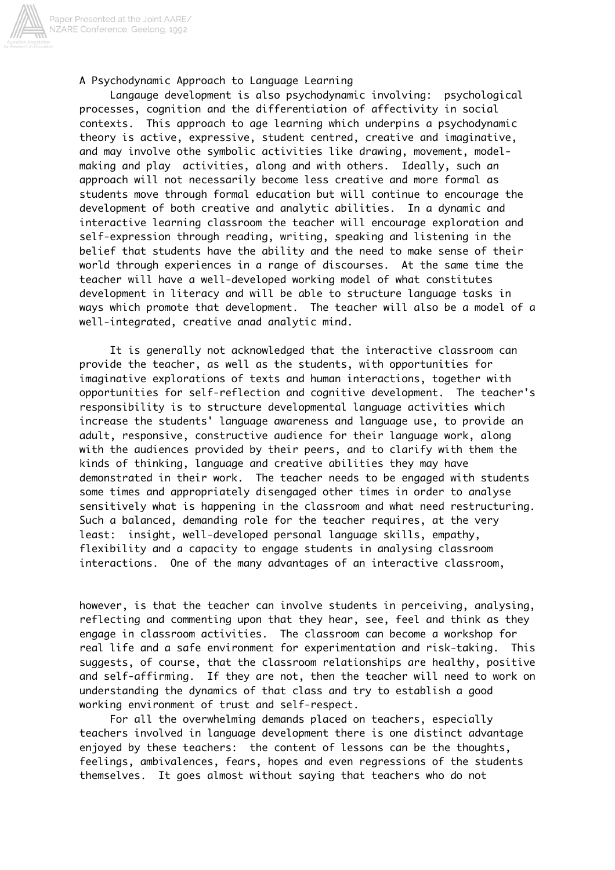

A Psychodynamic Approach to Language Learning

 Langauge development is also psychodynamic involving: psychological processes, cognition and the differentiation of affectivity in social contexts. This approach to age learning which underpins a psychodynamic theory is active, expressive, student centred, creative and imaginative, and may involve othe symbolic activities like drawing, movement, modelmaking and play activities, along and with others. Ideally, such an approach will not necessarily become less creative and more formal as students move through formal education but will continue to encourage the development of both creative and analytic abilities. In a dynamic and interactive learning classroom the teacher will encourage exploration and self-expression through reading, writing, speaking and listening in the belief that students have the ability and the need to make sense of their world through experiences in a range of discourses. At the same time the teacher will have a well-developed working model of what constitutes development in literacy and will be able to structure language tasks in ways which promote that development. The teacher will also be a model of a well-integrated, creative anad analytic mind.

 It is generally not acknowledged that the interactive classroom can provide the teacher, as well as the students, with opportunities for imaginative explorations of texts and human interactions, together with opportunities for self-reflection and cognitive development. The teacher's responsibility is to structure developmental language activities which increase the students' language awareness and language use, to provide an adult, responsive, constructive audience for their language work, along with the audiences provided by their peers, and to clarify with them the kinds of thinking, language and creative abilities they may have demonstrated in their work. The teacher needs to be engaged with students some times and appropriately disengaged other times in order to analyse sensitively what is happening in the classroom and what need restructuring. Such a balanced, demanding role for the teacher requires, at the very least: insight, well-developed personal language skills, empathy, flexibility and a capacity to engage students in analysing classroom interactions. One of the many advantages of an interactive classroom,

however, is that the teacher can involve students in perceiving, analysing, reflecting and commenting upon that they hear, see, feel and think as they engage in classroom activities. The classroom can become a workshop for real life and a safe environment for experimentation and risk-taking. This suggests, of course, that the classroom relationships are healthy, positive and self-affirming. If they are not, then the teacher will need to work on understanding the dynamics of that class and try to establish a good working environment of trust and self-respect.

 For all the overwhelming demands placed on teachers, especially teachers involved in language development there is one distinct advantage enjoyed by these teachers: the content of lessons can be the thoughts, feelings, ambivalences, fears, hopes and even regressions of the students themselves. It goes almost without saying that teachers who do not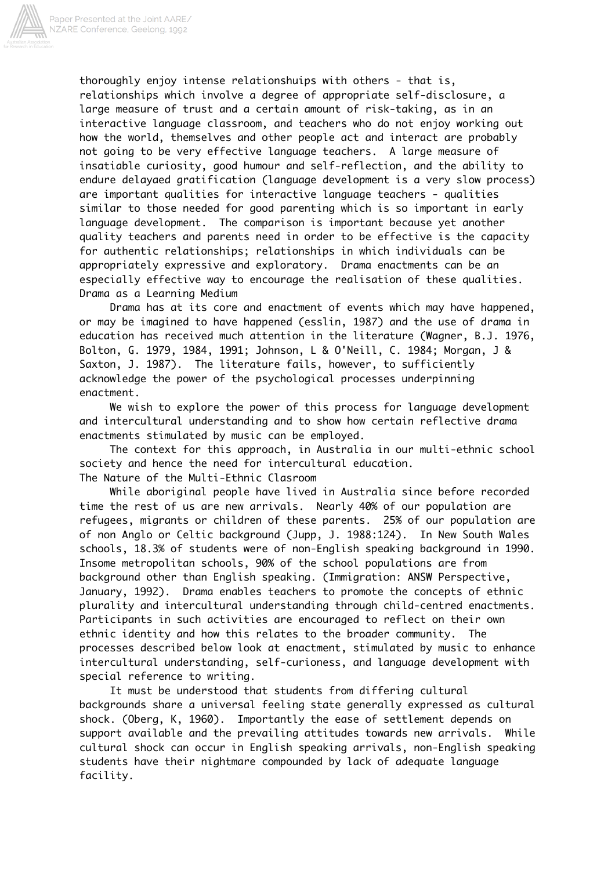

thoroughly enjoy intense relationshuips with others - that is, relationships which involve a degree of appropriate self-disclosure, a large measure of trust and a certain amount of risk-taking, as in an interactive language classroom, and teachers who do not enjoy working out how the world, themselves and other people act and interact are probably not going to be very effective language teachers. A large measure of insatiable curiosity, good humour and self-reflection, and the ability to endure delayaed gratification (language development is a very slow process) are important qualities for interactive language teachers - qualities similar to those needed for good parenting which is so important in early language development. The comparison is important because yet another quality teachers and parents need in order to be effective is the capacity for authentic relationships; relationships in which individuals can be appropriately expressive and exploratory. Drama enactments can be an especially effective way to encourage the realisation of these qualities. Drama as a Learning Medium

 Drama has at its core and enactment of events which may have happened, or may be imagined to have happened (esslin, 1987) and the use of drama in education has received much attention in the literature (Wagner, B.J. 1976, Bolton, G. 1979, 1984, 1991; Johnson, L & O'Neill, C. 1984; Morgan, J & Saxton, J. 1987). The literature fails, however, to sufficiently acknowledge the power of the psychological processes underpinning enactment.

 We wish to explore the power of this process for language development and intercultural understanding and to show how certain reflective drama enactments stimulated by music can be employed.

 The context for this approach, in Australia in our multi-ethnic school society and hence the need for intercultural education. The Nature of the Multi-Ethnic Clasroom

 While aboriginal people have lived in Australia since before recorded time the rest of us are new arrivals. Nearly 40% of our population are refugees, migrants or children of these parents. 25% of our population are of non Anglo or Celtic background (Jupp, J. 1988:124). In New South Wales schools, 18.3% of students were of non-English speaking background in 1990. Insome metropolitan schools, 90% of the school populations are from background other than English speaking. (Immigration: ANSW Perspective, January, 1992). Drama enables teachers to promote the concepts of ethnic plurality and intercultural understanding through child-centred enactments. Participants in such activities are encouraged to reflect on their own ethnic identity and how this relates to the broader community. The processes described below look at enactment, stimulated by music to enhance intercultural understanding, self-curioness, and language development with special reference to writing.

 It must be understood that students from differing cultural backgrounds share a universal feeling state generally expressed as cultural shock. (Oberg, K, 1960). Importantly the ease of settlement depends on support available and the prevailing attitudes towards new arrivals. While cultural shock can occur in English speaking arrivals, non-English speaking students have their nightmare compounded by lack of adequate language facility.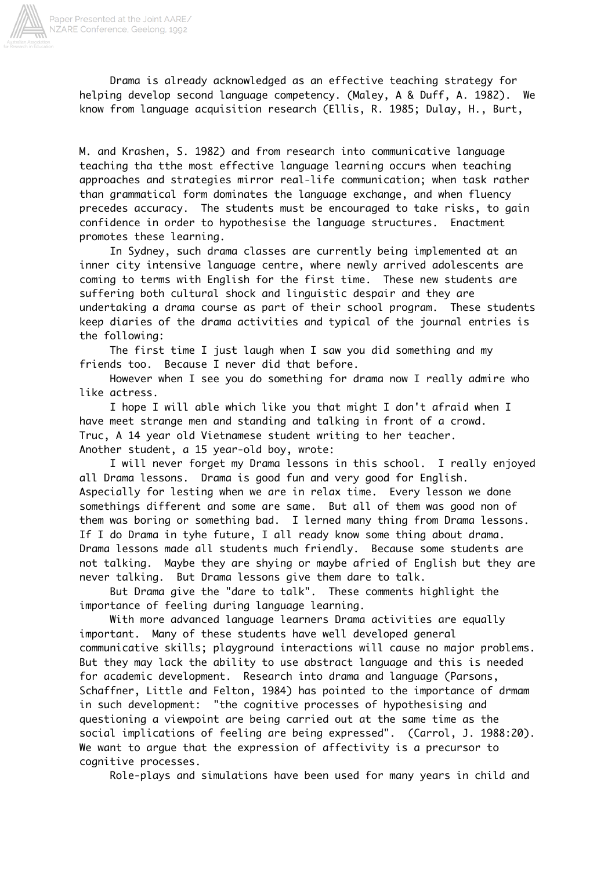

 Drama is already acknowledged as an effective teaching strategy for helping develop second language competency. (Maley, A & Duff, A. 1982). We know from language acquisition research (Ellis, R. 1985; Dulay, H., Burt,

M. and Krashen, S. 1982) and from research into communicative language teaching tha tthe most effective language learning occurs when teaching approaches and strategies mirror real-life communication; when task rather than grammatical form dominates the language exchange, and when fluency precedes accuracy. The students must be encouraged to take risks, to gain confidence in order to hypothesise the language structures. Enactment promotes these learning.

 In Sydney, such drama classes are currently being implemented at an inner city intensive language centre, where newly arrived adolescents are coming to terms with English for the first time. These new students are suffering both cultural shock and linguistic despair and they are undertaking a drama course as part of their school program. These students keep diaries of the drama activities and typical of the journal entries is the following:

 The first time I just laugh when I saw you did something and my friends too. Because I never did that before.

 However when I see you do something for drama now I really admire who like actress.

 I hope I will able which like you that might I don't afraid when I have meet strange men and standing and talking in front of a crowd. Truc, A 14 year old Vietnamese student writing to her teacher. Another student, a 15 year-old boy, wrote:

 I will never forget my Drama lessons in this school. I really enjoyed all Drama lessons. Drama is good fun and very good for English. Aspecially for lesting when we are in relax time. Every lesson we done somethings different and some are same. But all of them was good non of them was boring or something bad. I lerned many thing from Drama lessons. If I do Drama in tyhe future, I all ready know some thing about drama. Drama lessons made all students much friendly. Because some students are not talking. Maybe they are shying or maybe afried of English but they are never talking. But Drama lessons give them dare to talk.

 But Drama give the "dare to talk". These comments highlight the importance of feeling during language learning.

 With more advanced language learners Drama activities are equally important. Many of these students have well developed general communicative skills; playground interactions will cause no major problems. But they may lack the ability to use abstract language and this is needed for academic development. Research into drama and language (Parsons, Schaffner, Little and Felton, 1984) has pointed to the importance of drmam in such development: "the cognitive processes of hypothesising and questioning a viewpoint are being carried out at the same time as the social implications of feeling are being expressed". (Carrol, J. 1988:20). We want to argue that the expression of affectivity is a precursor to cognitive processes.

Role-plays and simulations have been used for many years in child and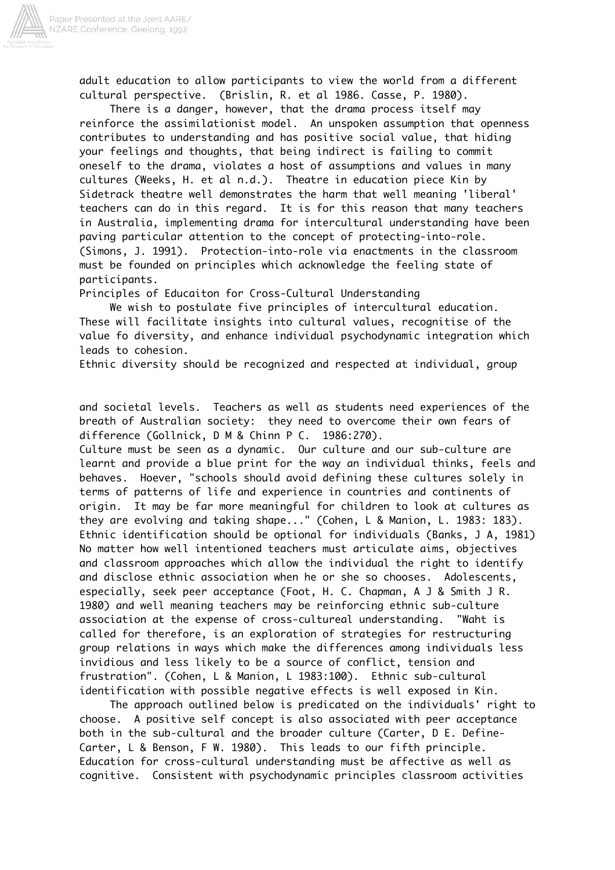

adult education to allow participants to view the world from a different cultural perspective. (Brislin, R. et al 1986. Casse, P. 1980).

 There is a danger, however, that the drama process itself may reinforce the assimilationist model. An unspoken assumption that openness contributes to understanding and has positive social value, that hiding your feelings and thoughts, that being indirect is failing to commit oneself to the drama, violates a host of assumptions and values in many cultures (Weeks, H. et al n.d.). Theatre in education piece Kin by Sidetrack theatre well demonstrates the harm that well meaning 'liberal' teachers can do in this regard. It is for this reason that many teachers in Australia, implementing drama for intercultural understanding have been paving particular attention to the concept of protecting-into-role. (Simons, J. 1991). Protection-into-role via enactments in the classroom must be founded on principles which acknowledge the feeling state of participants.

Principles of Educaiton for Cross-Cultural Understanding

 We wish to postulate five principles of intercultural education. These will facilitate insights into cultural values, recognitise of the value fo diversity, and enhance individual psychodynamic integration which leads to cohesion.

Ethnic diversity should be recognized and respected at individual, group

and societal levels. Teachers as well as students need experiences of the breath of Australian society: they need to overcome their own fears of difference (Gollnick, D M & Chinn P C. 1986:270).

Culture must be seen as a dynamic. Our culture and our sub-culture are learnt and provide a blue print for the way an individual thinks, feels and behaves. Hoever, "schools should avoid defining these cultures solely in terms of patterns of life and experience in countries and continents of origin. It may be far more meaningful for children to look at cultures as they are evolving and taking shape..." (Cohen, L & Manion, L. 1983: 183). Ethnic identification should be optional for individuals (Banks, J A, 1981) No matter how well intentioned teachers must articulate aims, objectives and classroom approaches which allow the individual the right to identify and disclose ethnic association when he or she so chooses. Adolescents, especially, seek peer acceptance (Foot, H. C. Chapman, A J & Smith J R. 1980) and well meaning teachers may be reinforcing ethnic sub-culture association at the expense of cross-cultureal understanding. "Waht is called for therefore, is an exploration of strategies for restructuring group relations in ways which make the differences among individuals less invidious and less likely to be a source of conflict, tension and frustration". (Cohen, L & Manion, L 1983:100). Ethnic sub-cultural identification with possible negative effects is well exposed in Kin.

 The approach outlined below is predicated on the individuals' right to choose. A positive self concept is also associated with peer acceptance both in the sub-cultural and the broader culture (Carter, D E. Define-Carter, L & Benson, F W. 1980). This leads to our fifth principle. Education for cross-cultural understanding must be affective as well as cognitive. Consistent with psychodynamic principles classroom activities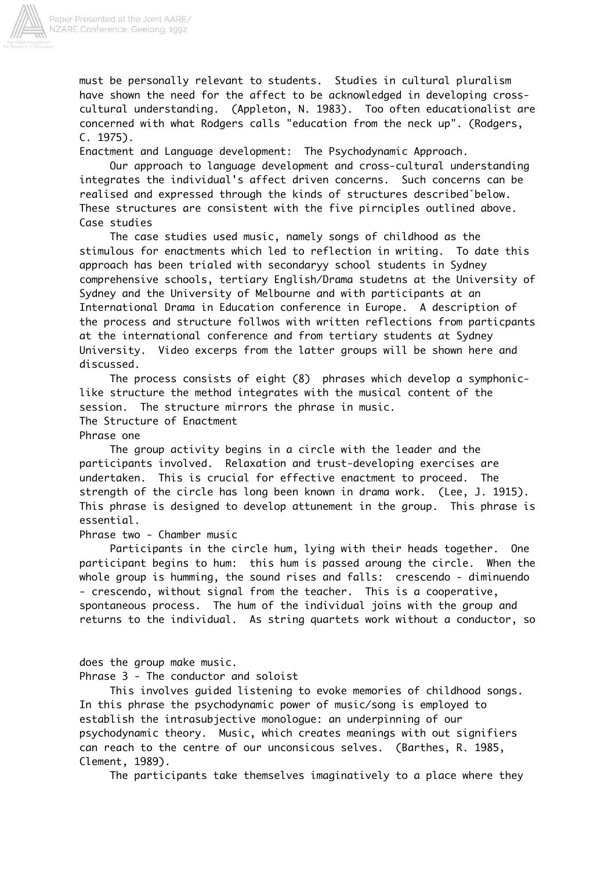

must be personally relevant to students. Studies in cultural pluralism have shown the need for the affect to be acknowledged in developing crosscultural understanding. (Appleton, N. 1983). Too often educationalist are concerned with what Rodgers calls "education from the neck up". (Rodgers, C. 1975).

Enactment and Language development: The Psychodynamic Approach.

 Our approach to language development and cross-cultural understanding integrates the individual's affect driven concerns. Such concerns can be realised and expressed through the kinds of structures describedˇbelow. These structures are consistent with the five pirnciples outlined above. Case studies

 The case studies used music, namely songs of childhood as the stimulous for enactments which led to reflection in writing. To date this approach has been trialed with secondaryy school students in Sydney comprehensive schools, tertiary English/Drama studetns at the University of Sydney and the University of Melbourne and with participants at an International Drama in Education conference in Europe. A description of the process and structure follwos with written reflections from particpants at the international conference and from tertiary students at Sydney University. Video excerps from the latter groups will be shown here and discussed.

 The process consists of eight (8) phrases which develop a symphoniclike structure the method integrates with the musical content of the session. The structure mirrors the phrase in music. The Structure of Enactment

Phrase one

 The group activity begins in a circle with the leader and the participants involved. Relaxation and trust-developing exercises are undertaken. This is crucial for effective enactment to proceed. The strength of the circle has long been known in drama work. (Lee, J. 1915). This phrase is designed to develop attunement in the group. This phrase is essential.

## Phrase two - Chamber music

 Participants in the circle hum, lying with their heads together. One participant begins to hum: this hum is passed aroung the circle. When the whole group is humming, the sound rises and falls: crescendo - diminuendo - crescendo, without signal from the teacher. This is a cooperative, spontaneous process. The hum of the individual joins with the group and returns to the individual. As string quartets work without a conductor, so

does the group make music.

Phrase 3 - The conductor and soloist

 This involves guided listening to evoke memories of childhood songs. In this phrase the psychodynamic power of music/song is employed to establish the intrasubjective monologue: an underpinning of our psychodynamic theory. Music, which creates meanings with out signifiers can reach to the centre of our unconsicous selves. (Barthes, R. 1985, Clement, 1989).

The participants take themselves imaginatively to a place where they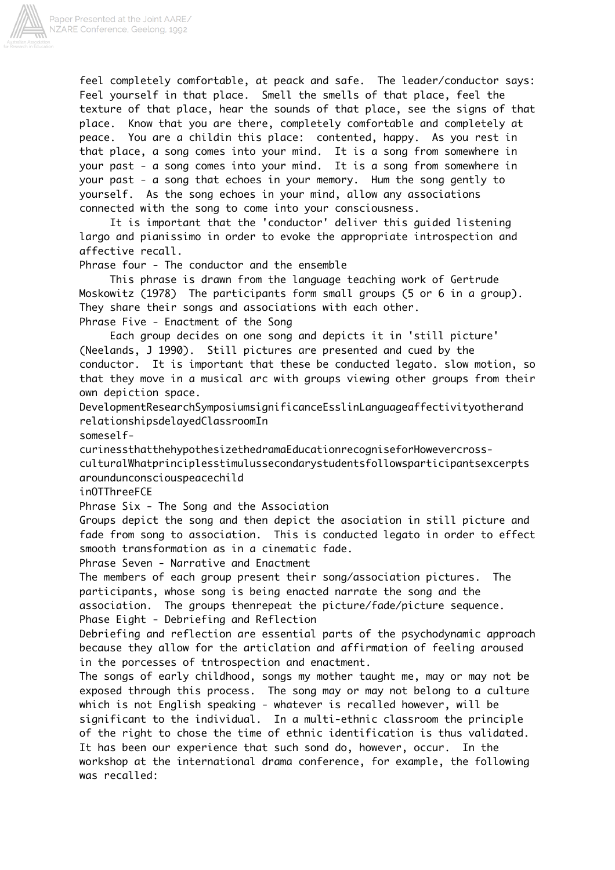

feel completely comfortable, at peack and safe. The leader/conductor says: Feel yourself in that place. Smell the smells of that place, feel the texture of that place, hear the sounds of that place, see the signs of that place. Know that you are there, completely comfortable and completely at peace. You are a childin this place: contented, happy. As you rest in that place, a song comes into your mind. It is a song from somewhere in your past - a song comes into your mind. It is a song from somewhere in your past - a song that echoes in your memory. Hum the song gently to yourself. As the song echoes in your mind, allow any associations connected with the song to come into your consciousness.

 It is important that the 'conductor' deliver this guided listening largo and pianissimo in order to evoke the appropriate introspection and affective recall.

Phrase four - The conductor and the ensemble

 This phrase is drawn from the language teaching work of Gertrude Moskowitz (1978) The participants form small groups (5 or 6 in a group). They share their songs and associations with each other. Phrase Five - Enactment of the Song

 Each group decides on one song and depicts it in 'still picture' (Neelands, J 1990). Still pictures are presented and cued by the conductor. It is important that these be conducted legato. slow motion, so that they move in a musical arc with groups viewing other groups from their own depiction space.

DevelopmentResearchSymposiumsignificanceEsslinLanguageaffectivityotherand relationshipsdelayedClassroomIn

someself-

curinessthatthehypothesizethedramaEducationrecogniseforHowevercrossculturalWhatprinciplesstimulussecondarystudentsfollowsparticipantsexcerpts aroundunconsciouspeacechild

inOTThreeFCE

Phrase Six - The Song and the Association

Groups depict the song and then depict the asociation in still picture and fade from song to association. This is conducted legato in order to effect smooth transformation as in a cinematic fade.

Phrase Seven - Narrative and Enactment

The members of each group present their song/association pictures. The participants, whose song is being enacted narrate the song and the association. The groups thenrepeat the picture/fade/picture sequence. Phase Eight - Debriefing and Reflection

Debriefing and reflection are essential parts of the psychodynamic approach because they allow for the articlation and affirmation of feeling aroused in the porcesses of tntrospection and enactment.

The songs of early childhood, songs my mother taught me, may or may not be exposed through this process. The song may or may not belong to a culture which is not English speaking - whatever is recalled however, will be significant to the individual. In a multi-ethnic classroom the principle of the right to chose the time of ethnic identification is thus validated. It has been our experience that such sond do, however, occur. In the workshop at the international drama conference, for example, the following was recalled: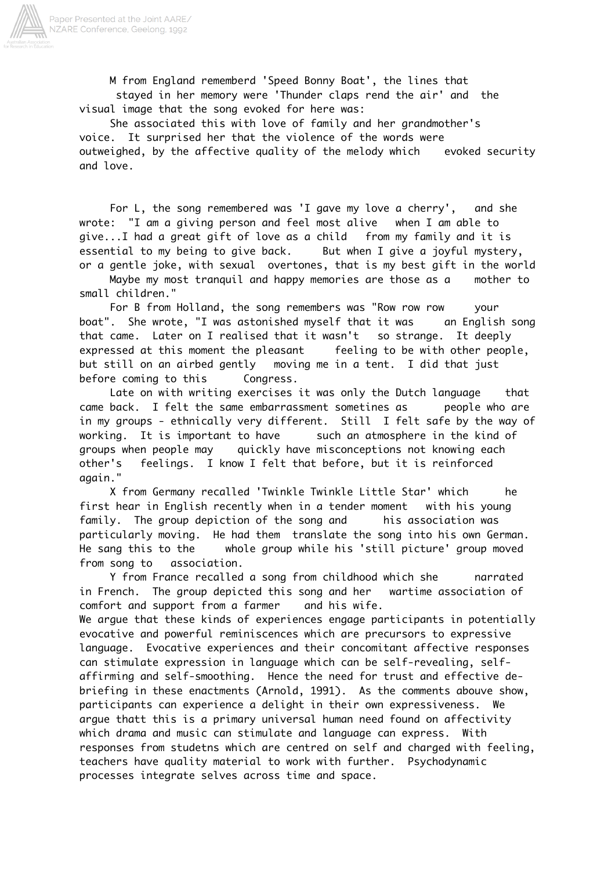

 M from England rememberd 'Speed Bonny Boat', the lines that stayed in her memory were 'Thunder claps rend the air' and the visual image that the song evoked for here was:

 She associated this with love of family and her grandmother's voice. It surprised her that the violence of the words were outweighed, by the affective quality of the melody which evoked security and love.

 For L, the song remembered was 'I gave my love a cherry', and she wrote: "I am a giving person and feel most alive when I am able to give...I had a great gift of love as a child from my family and it is essential to my being to give back. But when I give a joyful mystery, or a gentle joke, with sexual overtones, that is my best gift in the world

 Maybe my most tranquil and happy memories are those as a mother to small children."

For B from Holland, the song remembers was "Row row row your boat". She wrote, "I was astonished myself that it was an English song that came. Later on I realised that it wasn't so strange. It deeply expressed at this moment the pleasant feeling to be with other people, but still on an airbed gently moving me in a tent. I did that just before coming to this Congress.

 Late on with writing exercises it was only the Dutch language that came back. I felt the same embarrassment sometines as people who are in my groups - ethnically very different. Still I felt safe by the way of working. It is important to have such an atmosphere in the kind of groups when people may quickly have misconceptions not knowing each other's feelings. I know I felt that before, but it is reinforced again."

 X from Germany recalled 'Twinkle Twinkle Little Star' which he first hear in English recently when in a tender moment with his young family. The group depiction of the song and his association was particularly moving. He had them translate the song into his own German. He sang this to the whole group while his 'still picture' group moved from song to association.

 Y from France recalled a song from childhood which she narrated in French. The group depicted this song and her wartime association of comfort and support from a farmer and his wife.

We argue that these kinds of experiences engage participants in potentially evocative and powerful reminiscences which are precursors to expressive language. Evocative experiences and their concomitant affective responses can stimulate expression in language which can be self-revealing, selfaffirming and self-smoothing. Hence the need for trust and effective debriefing in these enactments (Arnold, 1991). As the comments abouve show, participants can experience a delight in their own expressiveness. We argue thatt this is a primary universal human need found on affectivity which drama and music can stimulate and language can express. With responses from studetns which are centred on self and charged with feeling, teachers have quality material to work with further. Psychodynamic processes integrate selves across time and space.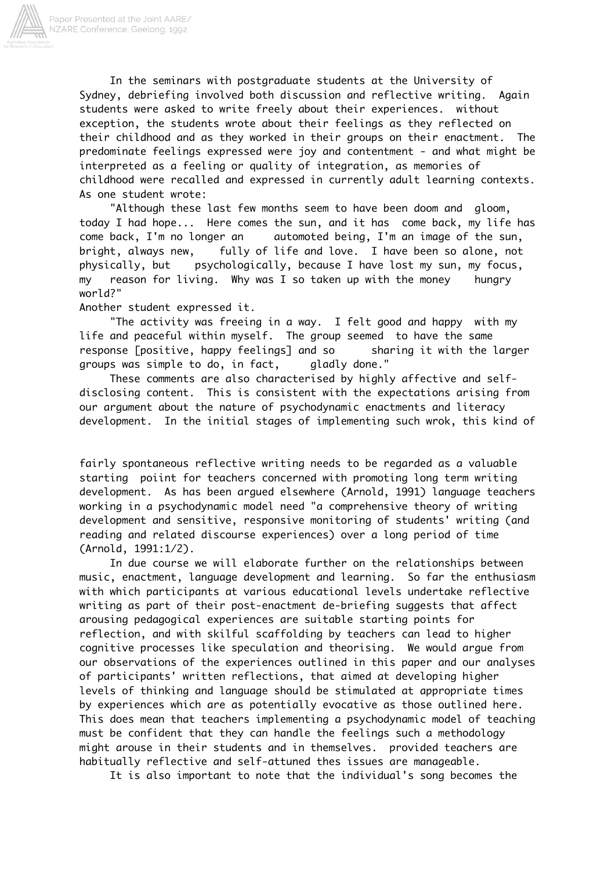In the seminars with postgraduate students at the University of Sydney, debriefing involved both discussion and reflective writing. Again students were asked to write freely about their experiences. without exception, the students wrote about their feelings as they reflected on their childhood and as they worked in their groups on their enactment. The predominate feelings expressed were joy and contentment - and what might be interpreted as a feeling or quality of integration, as memories of childhood were recalled and expressed in currently adult learning contexts. As one student wrote:

 "Although these last few months seem to have been doom and gloom, today I had hope... Here comes the sun, and it has come back, my life has come back, I'm no longer an automoted being, I'm an image of the sun, bright, always new, fully of life and love. I have been so alone, not physically, but psychologically, because I have lost my sun, my focus, my reason for living. Why was I so taken up with the money hungry world?"

Another student expressed it.

 "The activity was freeing in a way. I felt good and happy with my life and peaceful within myself. The group seemed to have the same response [positive, happy feelings] and so sharing it with the larger groups was simple to do, in fact, gladly done."

 These comments are also characterised by highly affective and selfdisclosing content. This is consistent with the expectations arising from our argument about the nature of psychodynamic enactments and literacy development. In the initial stages of implementing such wrok, this kind of

fairly spontaneous reflective writing needs to be regarded as a valuable starting poiint for teachers concerned with promoting long term writing development. As has been argued elsewhere (Arnold, 1991) language teachers working in a psychodynamic model need "a comprehensive theory of writing development and sensitive, responsive monitoring of students' writing (and reading and related discourse experiences) over a long period of time (Arnold, 1991:1/2).

 In due course we will elaborate further on the relationships between music, enactment, language development and learning. So far the enthusiasm with which participants at various educational levels undertake reflective writing as part of their post-enactment de-briefing suggests that affect arousing pedagogical experiences are suitable starting points for reflection, and with skilful scaffolding by teachers can lead to higher cognitive processes like speculation and theorising. We would argue from our observations of the experiences outlined in this paper and our analyses of participants' written reflections, that aimed at developing higher levels of thinking and language should be stimulated at appropriate times by experiences which are as potentially evocative as those outlined here. This does mean that teachers implementing a psychodynamic model of teaching must be confident that they can handle the feelings such a methodology might arouse in their students and in themselves. provided teachers are habitually reflective and self-attuned thes issues are manageable.

It is also important to note that the individual's song becomes the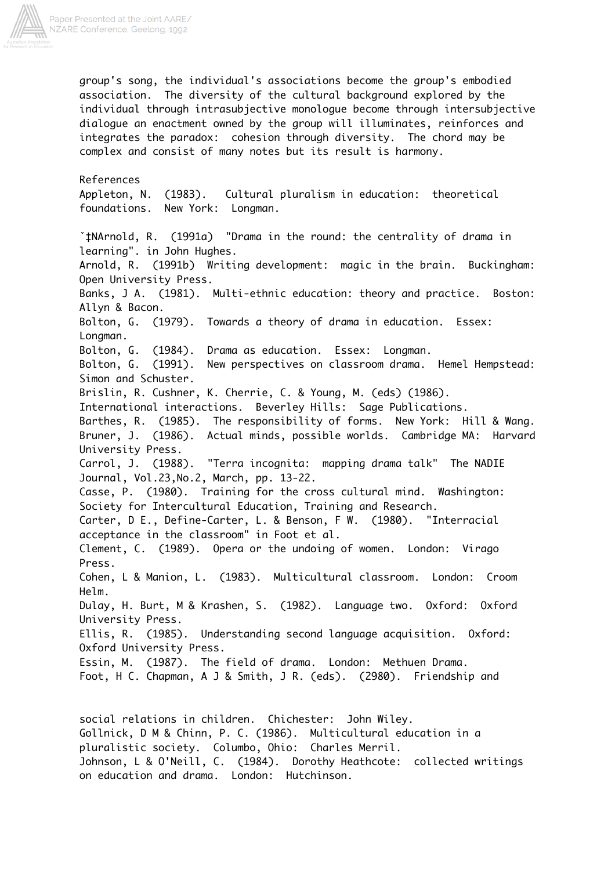

References

group's song, the individual's associations become the group's embodied association. The diversity of the cultural background explored by the individual through intrasubjective monologue become through intersubjective dialogue an enactment owned by the group will illuminates, reinforces and integrates the paradox: cohesion through diversity. The chord may be complex and consist of many notes but its result is harmony.

Appleton, N. (1983). Cultural pluralism in education: theoretical foundations. New York: Longman. ˇ‡NArnold, R. (1991a) "Drama in the round: the centrality of drama in learning". in John Hughes. Arnold, R. (1991b) Writing development: magic in the brain. Buckingham: Open University Press. Banks, J A. (1981). Multi-ethnic education: theory and practice. Boston: Allyn & Bacon. Bolton, G. (1979). Towards a theory of drama in education. Essex: Longman. Bolton, G. (1984). Drama as education. Essex: Longman. Bolton, G. (1991). New perspectives on classroom drama. Hemel Hempstead: Simon and Schuster. Brislin, R. Cushner, K. Cherrie, C. & Young, M. (eds) (1986). International interactions. Beverley Hills: Sage Publications. Barthes, R. (1985). The responsibility of forms. New York: Hill & Wang. Bruner, J. (1986). Actual minds, possible worlds. Cambridge MA: Harvard University Press. Carrol, J. (1988). "Terra incognita: mapping drama talk" The NADIE Journal, Vol.23,No.2, March, pp. 13-22. Casse, P. (1980). Training for the cross cultural mind. Washington: Society for Intercultural Education, Training and Research. Carter, D E., Define-Carter, L. & Benson, F W. (1980). "Interracial acceptance in the classroom" in Foot et al. Clement, C. (1989). Opera or the undoing of women. London: Virago Press. Cohen, L & Manion, L. (1983). Multicultural classroom. London: Croom Helm. Dulay, H. Burt, M & Krashen, S. (1982). Language two. Oxford: Oxford University Press. Ellis, R. (1985). Understanding second language acquisition. Oxford: Oxford University Press. Essin, M. (1987). The field of drama. London: Methuen Drama. Foot, H C. Chapman, A J & Smith, J R. (eds). (2980). Friendship and

social relations in children. Chichester: John Wiley. Gollnick, D M & Chinn, P. C. (1986). Multicultural education in a pluralistic society. Columbo, Ohio: Charles Merril. Johnson, L & O'Neill, C. (1984). Dorothy Heathcote: collected writings on education and drama. London: Hutchinson.